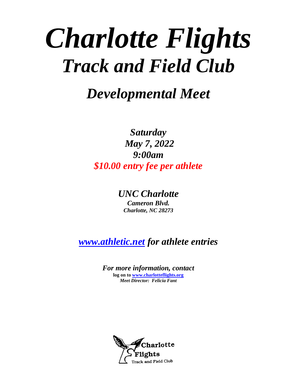# *Charlotte Flights Track and Field Club*

*Developmental Meet*

*Saturday May 7, 2022 9:00am \$10.00 entry fee per athlete*

> *UNC Charlotte Cameron Blvd. Charlotte, NC 28273*

*[www.athletic.net](http://www.athletic.net/) for athlete entries*

*For more information, contact*  **log on t[o www.charlotteflights.org](http://www.charlotteflights.org/)** *Meet Director: Felicia Fant*